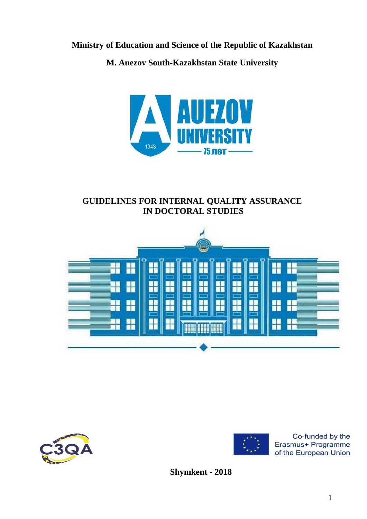**Ministry of Education and Science of the Republic of Kazakhstan**

**M. Auezov South-Kazakhstan State University**



# **GUIDELINES FOR INTERNAL QUALITY ASSURANCE IN DOCTORAL STUDIES**







Co-funded by the Erasmus+ Programme of the European Union

**Shymkent - 2018**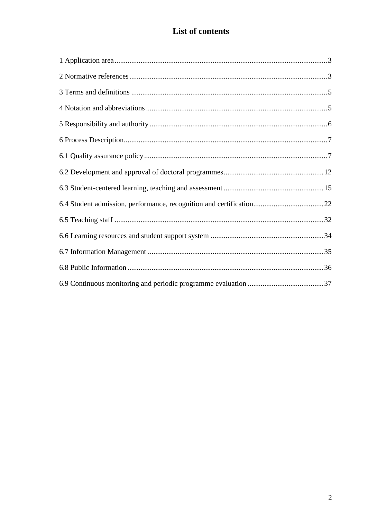# List of contents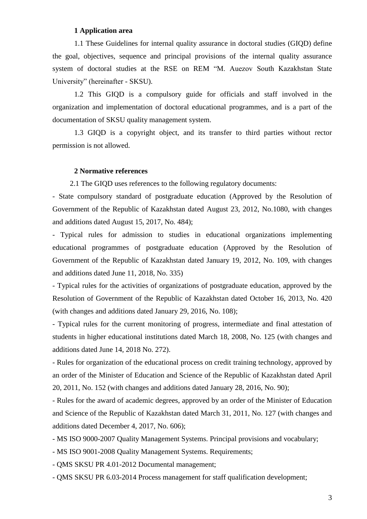# **1 Application area**

<span id="page-2-0"></span>1.1 These Guidelines for internal quality assurance in doctoral studies (GIQD) define the goal, objectives, sequence and principal provisions of the internal quality assurance system of doctoral studies at the RSE on REM "M. Auezov South Kazakhstan State University" (hereinafter - SKSU).

1.2 This GIQD is a compulsory guide for officials and staff involved in the organization and implementation of doctoral educational programmes, and is a part of the documentation of SKSU quality management system.

1.3 GIQD is a copyright object, and its transfer to third parties without rector permission is not allowed.

#### <span id="page-2-1"></span>**2 Normative references**

2.1 The GIQD uses references to the following regulatory documents:

- State compulsory standard of postgraduate education (Approved by the Resolution of Government of the Republic of Kazakhstan dated August 23, 2012, No.1080, with changes and additions dated August 15, 2017, No. 484);

- Typical rules for admission to studies in educational organizations implementing educational programmes of postgraduate education (Approved by the Resolution of Government of the Republic of Kazakhstan dated January 19, 2012, No. 109, with changes and additions dated June 11, 2018, No. 335)

- Typical rules for the activities of organizations of postgraduate education, approved by the Resolution of Government of the Republic of Kazakhstan dated October 16, 2013, No. 420 (with changes and additions dated January 29, 2016, No. 108);

- Typical rules for the current monitoring of progress, intermediate and final attestation of students in higher educational institutions dated March 18, 2008, No. 125 (with changes and additions dated June 14, 2018 No. 272).

- Rules for organization of the educational process on credit training technology, approved by an order of the Minister of Education and Science of the Republic of Kazakhstan dated April 20, 2011, No. 152 (with changes and additions dated January 28, 2016, No. 90);

- Rules for the award of academic degrees, approved by an order of the Minister of Education and Science of the Republic of Kazakhstan dated March 31, 2011, No. 127 (with changes and additions dated December 4, 2017, No. 606);

- MS ISO 9000-2007 Quality Management Systems. Principal provisions and vocabulary;

- MS ISO 9001-2008 Quality Management Systems. Requirements;

- QMS SKSU PR 4.01-2012 Documental management;

- QMS SKSU PR 6.03-2014 Process management for staff qualification development;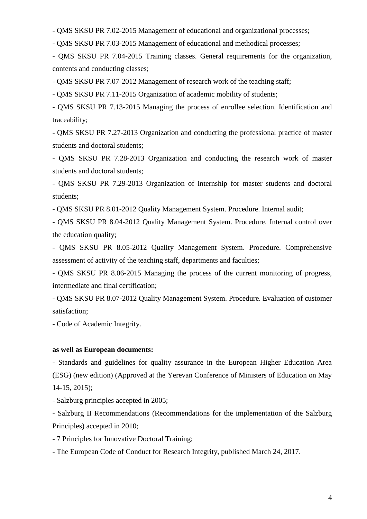- QMS SKSU PR 7.02-2015 Management of educational and organizational processes;

- QMS SKSU PR 7.03-2015 Management of educational and methodical processes;

- QMS SKSU PR 7.04-2015 Training classes. General requirements for the organization, contents and conducting classes;

- QMS SKSU PR 7.07-2012 Management of research work of the teaching staff;

- QMS SKSU PR 7.11-2015 Organization of academic mobility of students;

- QMS SKSU PR 7.13-2015 Managing the process of enrollee selection. Identification and traceability;

- QMS SKSU PR 7.27-2013 Organization and conducting the professional practice of master students and doctoral students;

- QMS SKSU PR 7.28-2013 Organization and conducting the research work of master students and doctoral students;

- QMS SKSU PR 7.29-2013 Organization of internship for master students and doctoral students;

- QMS SKSU PR 8.01-2012 Quality Management System. Procedure. Internal audit;

- QMS SKSU PR 8.04-2012 Quality Management System. Procedure. Internal control over the education quality;

- QMS SKSU PR 8.05-2012 Quality Management System. Procedure. Comprehensive assessment of activity of the teaching staff, departments and faculties;

- QMS SKSU PR 8.06-2015 Managing the process of the current monitoring of progress, intermediate and final certification;

- QMS SKSU PR 8.07-2012 Quality Management System. Procedure. Evaluation of customer satisfaction;

- Code of Academic Integrity.

# **as well as European documents:**

- Standards and guidelines for quality assurance in the European Higher Education Area (ESG) (new edition) (Approved at the Yerevan Conference of Ministers of Education on May 14-15, 2015);

- Salzburg principles accepted in 2005;

- Salzburg II Recommendations (Recommendations for the implementation of the Salzburg Principles) accepted in 2010;

- 7 Principles for Innovative Doctoral Training;

- The European Code of Conduct for Research Integrity, published March 24, 2017.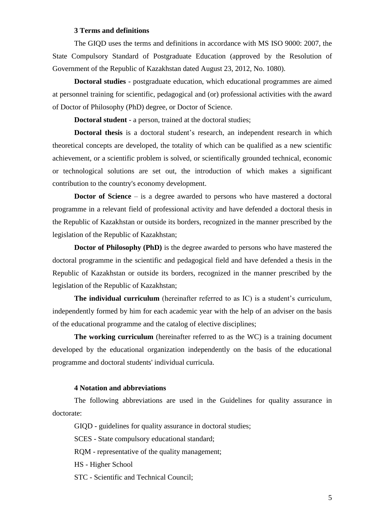# **3 Terms and definitions**

<span id="page-4-0"></span>The GIQD uses the terms and definitions in accordance with MS ISO 9000: 2007, the State Compulsory Standard of Postgraduate Education (approved by the Resolution of Government of the Republic of Kazakhstan dated August 23, 2012, No. 1080).

**Doctoral studies** - postgraduate education, which educational programmes are aimed at personnel training for scientific, pedagogical and (or) professional activities with the award of Doctor of Philosophy (PhD) degree, or Doctor of Science.

**Doctoral student** - a person, trained at the doctoral studies;

**Doctoral thesis** is a doctoral student's research, an independent research in which theoretical concepts are developed, the totality of which can be qualified as a new scientific achievement, or a scientific problem is solved, or scientifically grounded technical, economic or technological solutions are set out, the introduction of which makes a significant contribution to the country's economy development.

**Doctor** of Science – is a degree awarded to persons who have mastered a doctoral programme in a relevant field of professional activity and have defended a doctoral thesis in the Republic of Kazakhstan or outside its borders, recognized in the manner prescribed by the legislation of the Republic of Kazakhstan;

**Doctor of Philosophy (PhD)** is the degree awarded to persons who have mastered the doctoral programme in the scientific and pedagogical field and have defended a thesis in the Republic of Kazakhstan or outside its borders, recognized in the manner prescribed by the legislation of the Republic of Kazakhstan;

**The individual curriculum** (hereinafter referred to as IC) is a student's curriculum, independently formed by him for each academic year with the help of an adviser on the basis of the educational programme and the catalog of elective disciplines;

**The working curriculum** (hereinafter referred to as the WC) is a training document developed by the educational organization independently on the basis of the educational programme and doctoral students' individual curricula.

## **4 Notation and abbreviations**

<span id="page-4-1"></span>The following abbreviations are used in the Guidelines for quality assurance in doctorate:

GIQD - guidelines for quality assurance in doctoral studies;

SCES - State compulsory educational standard;

RQM - representative of the quality management;

HS - Higher School

STC - Scientific and Technical Council;

5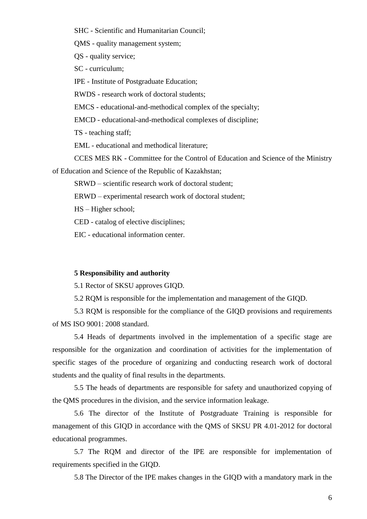SHC - Scientific and Humanitarian Council;

QMS - quality management system;

QS - quality service;

SC - curriculum;

IPE - Institute of Postgraduate Education;

RWDS - research work of doctoral students;

EMCS - educational-and-methodical complex of the specialty;

EMCD - educational-and-methodical complexes of discipline;

TS - teaching staff;

EML - educational and methodical literature;

CCES MES RK - Committee for the Control of Education and Science of the Ministry

of Education and Science of the Republic of Kazakhstan;

SRWD – scientific research work of doctoral student;

ERWD – experimental research work of doctoral student;

HS – Higher school;

CED - catalog of elective disciplines;

EIC - educational information center.

## <span id="page-5-0"></span>**5 Responsibility and authority**

5.1 Rector of SKSU approves GIQD.

5.2 RQM is responsible for the implementation and management of the GIQD.

5.3 RQM is responsible for the compliance of the GIQD provisions and requirements of MS ISO 9001: 2008 standard.

5.4 Heads of departments involved in the implementation of a specific stage are responsible for the organization and coordination of activities for the implementation of specific stages of the procedure of organizing and conducting research work of doctoral students and the quality of final results in the departments.

5.5 The heads of departments are responsible for safety and unauthorized copying of the QMS procedures in the division, and the service information leakage.

5.6 The director of the Institute of Postgraduate Training is responsible for management of this GIQD in accordance with the QMS of SKSU PR 4.01-2012 for doctoral educational programmes.

5.7 The RQM and director of the IPE are responsible for implementation of requirements specified in the GIQD.

5.8 The Director of the IPE makes changes in the GIQD with a mandatory mark in the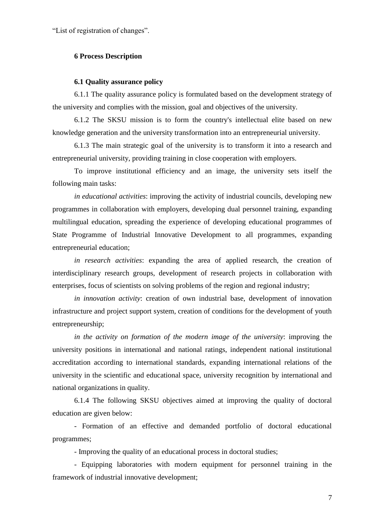"List of registration of changes".

## <span id="page-6-0"></span>**6 Process Description**

#### **6.1 Quality assurance policy**

<span id="page-6-1"></span>6.1.1 The quality assurance policy is formulated based on the development strategy of the university and complies with the mission, goal and objectives of the university.

6.1.2 The SKSU mission is to form the country's intellectual elite based on new knowledge generation and the university transformation into an entrepreneurial university.

6.1.3 The main strategic goal of the university is to transform it into a research and entrepreneurial university, providing training in close cooperation with employers.

To improve institutional efficiency and an image, the university sets itself the following main tasks:

*in educational activities*: improving the activity of industrial councils, developing new programmes in collaboration with employers, developing dual personnel training, expanding multilingual education, spreading the experience of developing educational programmes of State Programme of Industrial Innovative Development to all programmes, expanding entrepreneurial education;

*in research activities*: expanding the area of applied research, the creation of interdisciplinary research groups, development of research projects in collaboration with enterprises, focus of scientists on solving problems of the region and regional industry;

*in innovation activity*: creation of own industrial base, development of innovation infrastructure and project support system, creation of conditions for the development of youth entrepreneurship;

*in the activity on formation of the modern image of the university*: improving the university positions in international and national ratings, independent national institutional accreditation according to international standards, expanding international relations of the university in the scientific and educational space, university recognition by international and national organizations in quality.

6.1.4 The following SKSU objectives aimed at improving the quality of doctoral education are given below:

- Formation of an effective and demanded portfolio of doctoral educational programmes;

- Improving the quality of an educational process in doctoral studies;

- Equipping laboratories with modern equipment for personnel training in the framework of industrial innovative development;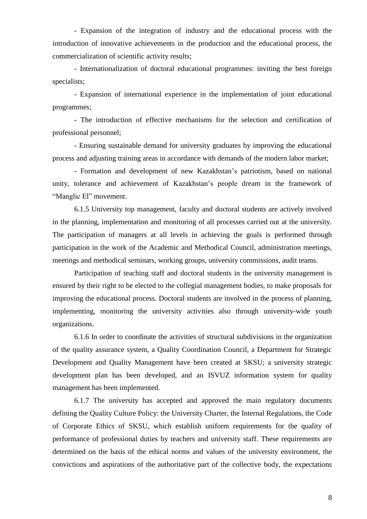- Expansion of the integration of industry and the educational process with the introduction of innovative achievements in the production and the educational process, the commercialization of scientific activity results;

- Internationalization of doctoral educational programmes: inviting the best foreign specialists;

- Expansion of international experience in the implementation of joint educational programmes;

- The introduction of effective mechanisms for the selection and certification of professional personnel;

- Ensuring sustainable demand for university graduates by improving the educational process and adjusting training areas in accordance with demands of the modern labor market;

- Formation and development of new Kazakhstan's patriotism, based on national unity, tolerance and achievement of Kazakhstan's people dream in the framework of "Manglic El" movement.

6.1.5 University top management, faculty and doctoral students are actively involved in the planning, implementation and monitoring of all processes carried out at the university. The participation of managers at all levels in achieving the goals is performed through participation in the work of the Academic and Methodical Council, administration meetings, meetings and methodical seminars, working groups, university commissions, audit teams.

Participation of teaching staff and doctoral students in the university management is ensured by their right to be elected to the collegial management bodies, to make proposals for improving the educational process. Doctoral students are involved in the process of planning, implementing, monitoring the university activities also through university-wide youth organizations.

6.1.6 In order to coordinate the activities of structural subdivisions in the organization of the quality assurance system, a Quality Coordination Council, a Department for Strategic Development and Quality Management have been created at SKSU; a university strategic development plan has been developed, and an ISVUZ information system for quality management has been implemented.

6.1.7 The university has accepted and approved the main regulatory documents defining the Quality Culture Policy: the University Charter, the Internal Regulations, the Code of Corporate Ethics of SKSU, which establish uniform requirements for the quality of performance of professional duties by teachers and university staff. These requirements are determined on the basis of the ethical norms and values of the university environment, the convictions and aspirations of the authoritative part of the collective body, the expectations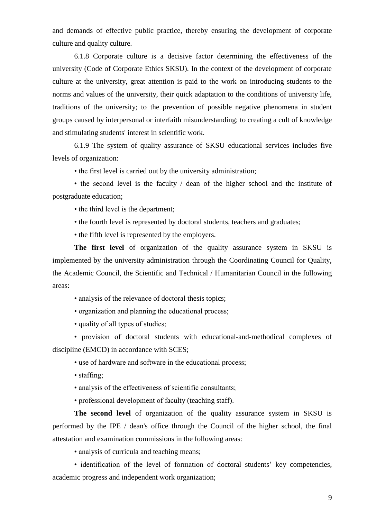and demands of effective public practice, thereby ensuring the development of corporate culture and quality culture.

6.1.8 Corporate culture is a decisive factor determining the effectiveness of the university (Code of Corporate Ethics SKSU). In the context of the development of corporate culture at the university, great attention is paid to the work on introducing students to the norms and values of the university, their quick adaptation to the conditions of university life, traditions of the university; to the prevention of possible negative phenomena in student groups caused by interpersonal or interfaith misunderstanding; to creating a cult of knowledge and stimulating students' interest in scientific work.

6.1.9 The system of quality assurance of SKSU educational services includes five levels of organization:

• the first level is carried out by the university administration;

• the second level is the faculty / dean of the higher school and the institute of postgraduate education;

• the third level is the department;

• the fourth level is represented by doctoral students, teachers and graduates;

• the fifth level is represented by the employers.

**The first level** of organization of the quality assurance system in SKSU is implemented by the university administration through the Coordinating Council for Quality, the Academic Council, the Scientific and Technical / Humanitarian Council in the following areas:

• analysis of the relevance of doctoral thesis topics;

• organization and planning the educational process;

• quality of all types of studies;

• provision of doctoral students with educational-and-methodical complexes of discipline (EMCD) in accordance with SCES;

• use of hardware and software in the educational process;

• staffing;

• analysis of the effectiveness of scientific consultants;

• professional development of faculty (teaching staff).

**The second level** of organization of the quality assurance system in SKSU is performed by the IPE / dean's office through the Council of the higher school, the final attestation and examination commissions in the following areas:

• analysis of curricula and teaching means;

• identification of the level of formation of doctoral students' key competencies, academic progress and independent work organization;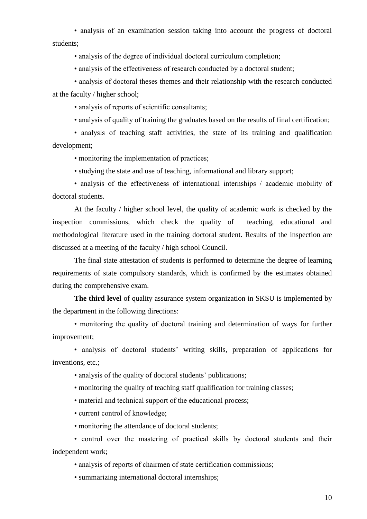• analysis of an examination session taking into account the progress of doctoral students;

• analysis of the degree of individual doctoral curriculum completion;

• analysis of the effectiveness of research conducted by a doctoral student;

• analysis of doctoral theses themes and their relationship with the research conducted at the faculty / higher school;

• analysis of reports of scientific consultants;

• analysis of quality of training the graduates based on the results of final certification;

• analysis of teaching staff activities, the state of its training and qualification development;

• monitoring the implementation of practices;

• studying the state and use of teaching, informational and library support;

• analysis of the effectiveness of international internships / academic mobility of doctoral students.

At the faculty / higher school level, the quality of academic work is checked by the inspection commissions, which check the quality of teaching, educational and methodological literature used in the training doctoral student. Results of the inspection are discussed at a meeting of the faculty / high school Council.

The final state attestation of students is performed to determine the degree of learning requirements of state compulsory standards, which is confirmed by the estimates obtained during the comprehensive exam.

**The third level** of quality assurance system organization in SKSU is implemented by the department in the following directions:

• monitoring the quality of doctoral training and determination of ways for further improvement;

• analysis of doctoral students' writing skills, preparation of applications for inventions, etc.;

• analysis of the quality of doctoral students' publications;

• monitoring the quality of teaching staff qualification for training classes;

• material and technical support of the educational process;

• current control of knowledge;

• monitoring the attendance of doctoral students;

• control over the mastering of practical skills by doctoral students and their independent work;

• analysis of reports of chairmen of state certification commissions;

• summarizing international doctoral internships;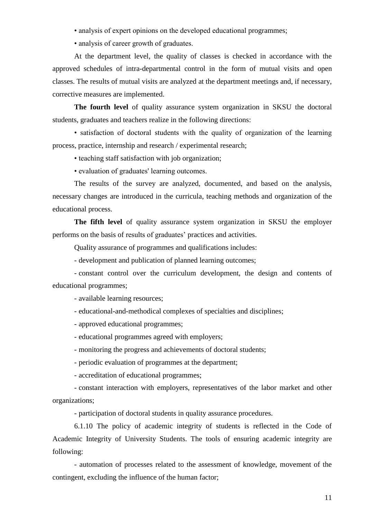• analysis of expert opinions on the developed educational programmes;

• analysis of career growth of graduates.

At the department level, the quality of classes is checked in accordance with the approved schedules of intra-departmental control in the form of mutual visits and open classes. The results of mutual visits are analyzed at the department meetings and, if necessary, corrective measures are implemented.

**The fourth level** of quality assurance system organization in SKSU the doctoral students, graduates and teachers realize in the following directions:

• satisfaction of doctoral students with the quality of organization of the learning process, practice, internship and research / experimental research;

• teaching staff satisfaction with job organization;

• evaluation of graduates' learning outcomes.

The results of the survey are analyzed, documented, and based on the analysis, necessary changes are introduced in the curricula, teaching methods and organization of the educational process.

**The fifth level** of quality assurance system organization in SKSU the employer performs on the basis of results of graduates' practices and activities.

Quality assurance of programmes and qualifications includes:

- development and publication of planned learning outcomes;

- constant control over the curriculum development, the design and contents of educational programmes;

- available learning resources;

- educational-and-methodical complexes of specialties and disciplines;

- approved educational programmes;

- educational programmes agreed with employers;

- monitoring the progress and achievements of doctoral students;

- periodic evaluation of programmes at the department;

- accreditation of educational programmes;

- constant interaction with employers, representatives of the labor market and other organizations;

- participation of doctoral students in quality assurance procedures.

6.1.10 The policy of academic integrity of students is reflected in the Code of Academic Integrity of University Students. The tools of ensuring academic integrity are following:

- automation of processes related to the assessment of knowledge, movement of the contingent, excluding the influence of the human factor;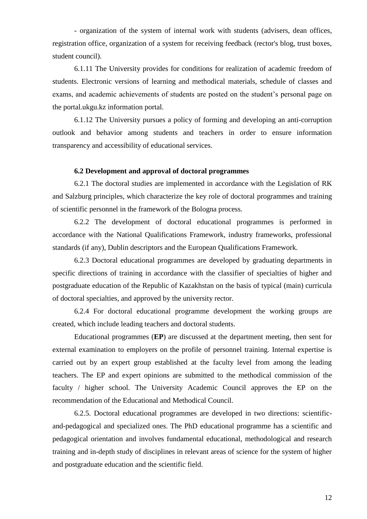- organization of the system of internal work with students (advisers, dean offices, registration office, organization of a system for receiving feedback (rector's blog, trust boxes, student council).

6.1.11 The University provides for conditions for realization of academic freedom of students. Electronic versions of learning and methodical materials, schedule of classes and exams, and academic achievements of students are posted on the student's personal page on the portal.ukgu.kz information portal.

6.1.12 The University pursues a policy of forming and developing an anti-corruption outlook and behavior among students and teachers in order to ensure information transparency and accessibility of educational services.

## **6.2 Development and approval of doctoral programmes**

<span id="page-11-0"></span>6.2.1 The doctoral studies are implemented in accordance with the Legislation of RK and Salzburg principles, which characterize the key role of doctoral programmes and training of scientific personnel in the framework of the Bologna process.

6.2.2 The development of doctoral educational programmes is performed in accordance with the National Qualifications Framework, industry frameworks, professional standards (if any), Dublin descriptors and the European Qualifications Framework.

6.2.3 Doctoral educational programmes are developed by graduating departments in specific directions of training in accordance with the classifier of specialties of higher and postgraduate education of the Republic of Kazakhstan on the basis of typical (main) curricula of doctoral specialties, and approved by the university rector.

6.2.4 For doctoral educational programme development the working groups are created, which include leading teachers and doctoral students.

Educational programmes (**EP**) are discussed at the department meeting, then sent for external examination to employers on the profile of personnel training. Internal expertise is carried out by an expert group established at the faculty level from among the leading teachers. The EP and expert opinions are submitted to the methodical commission of the faculty / higher school. The University Academic Council approves the EP on the recommendation of the Educational and Methodical Council.

6.2.5. Doctoral educational programmes are developed in two directions: scientificand-pedagogical and specialized ones. The PhD educational programme has a scientific and pedagogical orientation and involves fundamental educational, methodological and research training and in-depth study of disciplines in relevant areas of science for the system of higher and postgraduate education and the scientific field.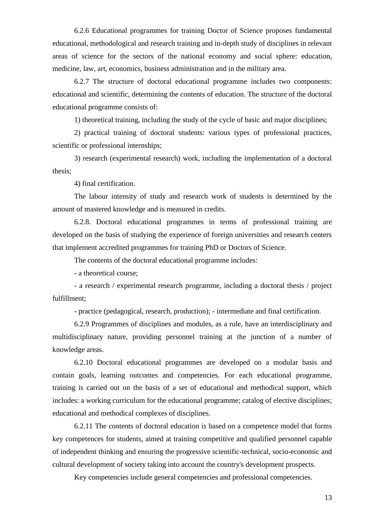6.2.6 Educational programmes for training Doctor of Science proposes fundamental educational, methodological and research training and in-depth study of disciplines in relevant areas of science for the sectors of the national economy and social sphere: education, medicine, law, art, economics, business administration and in the military area.

6.2.7 The structure of doctoral educational programme includes two components: educational and scientific, determining the contents of education. The structure of the doctoral educational programme consists of:

1) theoretical training, including the study of the cycle of basic and major disciplines;

2) practical training of doctoral students: various types of professional practices, scientific or professional internships;

3) research (experimental research) work, including the implementation of a doctoral thesis;

4) final certification.

The labour intensity of study and research work of students is determined by the amount of mastered knowledge and is measured in credits.

6.2.8. Doctoral educational programmes in terms of professional training are developed on the basis of studying the experience of foreign universities and research centers that implement accredited programmes for training PhD or Doctors of Science.

The contents of the doctoral educational programme includes:

- a theoretical course;

- a research / experimental research programme, including a doctoral thesis / project fulfillment;

- practice (pedagogical, research, production); - intermediate and final certification.

6.2.9 Programmes of disciplines and modules, as a rule, have an interdisciplinary and multidisciplinary nature, providing personnel training at the junction of a number of knowledge areas.

6.2.10 Doctoral educational programmes are developed on a modular basis and contain goals, learning outcomes and competencies. For each educational programme, training is carried out on the basis of a set of educational and methodical support, which includes: a working curriculum for the educational programme; catalog of elective disciplines; educational and methodical complexes of disciplines.

6.2.11 The contents of doctoral education is based on a competence model that forms key competences for students, aimed at training competitive and qualified personnel capable of independent thinking and ensuring the progressive scientific-technical, socio-economic and cultural development of society taking into account the country's development prospects.

Key competencies include general competencies and professional competencies.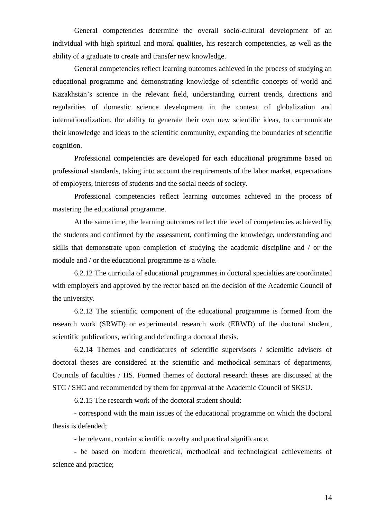General competencies determine the overall socio-cultural development of an individual with high spiritual and moral qualities, his research competencies, as well as the ability of a graduate to create and transfer new knowledge.

General competencies reflect learning outcomes achieved in the process of studying an educational programme and demonstrating knowledge of scientific concepts of world and Kazakhstan's science in the relevant field, understanding current trends, directions and regularities of domestic science development in the context of globalization and internationalization, the ability to generate their own new scientific ideas, to communicate their knowledge and ideas to the scientific community, expanding the boundaries of scientific cognition.

Professional competencies are developed for each educational programme based on professional standards, taking into account the requirements of the labor market, expectations of employers, interests of students and the social needs of society.

Professional competencies reflect learning outcomes achieved in the process of mastering the educational programme.

At the same time, the learning outcomes reflect the level of competencies achieved by the students and confirmed by the assessment, confirming the knowledge, understanding and skills that demonstrate upon completion of studying the academic discipline and / or the module and / or the educational programme as a whole.

6.2.12 The curricula of educational programmes in doctoral specialties are coordinated with employers and approved by the rector based on the decision of the Academic Council of the university.

6.2.13 The scientific component of the educational programme is formed from the research work (SRWD) or experimental research work (ERWD) of the doctoral student, scientific publications, writing and defending a doctoral thesis.

6.2.14 Themes and candidatures of scientific supervisors / scientific advisers of doctoral theses are considered at the scientific and methodical seminars of departments, Councils of faculties / HS. Formed themes of doctoral research theses are discussed at the STC / SHC and recommended by them for approval at the Academic Council of SKSU.

6.2.15 The research work of the doctoral student should:

- correspond with the main issues of the educational programme on which the doctoral thesis is defended;

- be relevant, contain scientific novelty and practical significance;

- be based on modern theoretical, methodical and technological achievements of science and practice;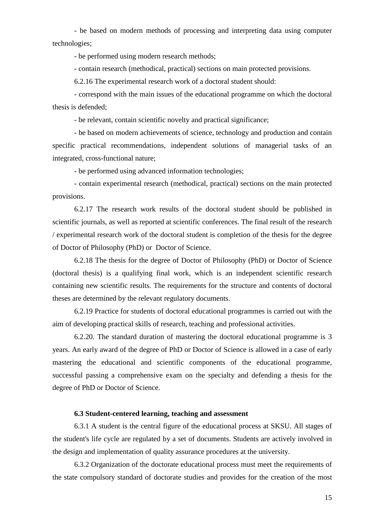- be based on modern methods of processing and interpreting data using computer technologies;

- be performed using modern research methods;

- contain research (methodical, practical) sections on main protected provisions.

6.2.16 The experimental research work of a doctoral student should:

- correspond with the main issues of the educational programme on which the doctoral thesis is defended;

- be relevant, contain scientific novelty and practical significance;

- be based on modern achievements of science, technology and production and contain specific practical recommendations, independent solutions of managerial tasks of an integrated, cross-functional nature;

- be performed using advanced information technologies;

- contain experimental research (methodical, practical) sections on the main protected provisions.

6.2.17 The research work results of the doctoral student should be published in scientific journals, as well as reported at scientific conferences. The final result of the research / experimental research work of the doctoral student is completion of the thesis for the degree of Doctor of Philosophy (PhD) or Doctor of Science.

6.2.18 The thesis for the degree of Doctor of Philosophy (PhD) or Doctor of Science (doctoral thesis) is a qualifying final work, which is an independent scientific research containing new scientific results. The requirements for the structure and contents of doctoral theses are determined by the relevant regulatory documents.

6.2.19 Practice for students of doctoral educational programmes is carried out with the aim of developing practical skills of research, teaching and professional activities.

6.2.20. The standard duration of mastering the doctoral educational programme is 3 years. An early award of the degree of PhD or Doctor of Science is allowed in a case of early mastering the educational and scientific components of the educational programme, successful passing a comprehensive exam on the specialty and defending a thesis for the degree of PhD or Doctor of Science.

## **6.3 Student-centered learning, teaching and assessment**

<span id="page-14-0"></span>6.3.1 A student is the central figure of the educational process at SKSU. All stages of the student's life cycle are regulated by a set of documents. Students are actively involved in the design and implementation of quality assurance procedures at the university.

6.3.2 Organization of the doctorate educational process must meet the requirements of the state compulsory standard of doctorate studies and provides for the creation of the most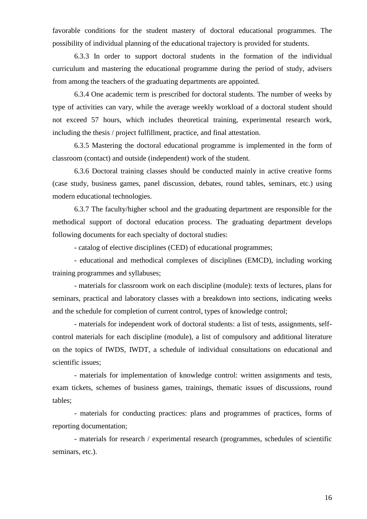favorable conditions for the student mastery of doctoral educational programmes. The possibility of individual planning of the educational trajectory is provided for students.

6.3.3 In order to support doctoral students in the formation of the individual curriculum and mastering the educational programme during the period of study, advisers from among the teachers of the graduating departments are appointed.

6.3.4 One academic term is prescribed for doctoral students. The number of weeks by type of activities can vary, while the average weekly workload of a doctoral student should not exceed 57 hours, which includes theoretical training, experimental research work, including the thesis / project fulfillment, practice, and final attestation.

6.3.5 Mastering the doctoral educational programme is implemented in the form of classroom (contact) and outside (independent) work of the student.

6.3.6 Doctoral training classes should be conducted mainly in active creative forms (case study, business games, panel discussion, debates, round tables, seminars, etc.) using modern educational technologies.

6.3.7 The faculty/higher school and the graduating department are responsible for the methodical support of doctoral education process. The graduating department develops following documents for each specialty of doctoral studies:

- catalog of elective disciplines (CED) of educational programmes;

- educational and methodical complexes of disciplines (EMCD), including working training programmes and syllabuses;

- materials for classroom work on each discipline (module): texts of lectures, plans for seminars, practical and laboratory classes with a breakdown into sections, indicating weeks and the schedule for completion of current control, types of knowledge control;

- materials for independent work of doctoral students: a list of tests, assignments, selfcontrol materials for each discipline (module), a list of compulsory and additional literature on the topics of IWDS, IWDT, a schedule of individual consultations on educational and scientific issues;

- materials for implementation of knowledge control: written assignments and tests, exam tickets, schemes of business games, trainings, thematic issues of discussions, round tables;

- materials for conducting practices: plans and programmes of practices, forms of reporting documentation;

- materials for research / experimental research (programmes, schedules of scientific seminars, etc.).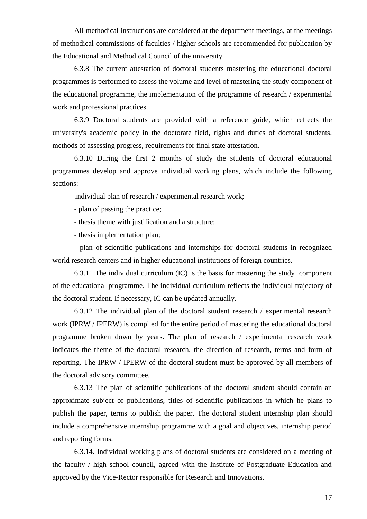All methodical instructions are considered at the department meetings, at the meetings of methodical commissions of faculties / higher schools are recommended for publication by the Educational and Methodical Council of the university.

6.3.8 The current attestation of doctoral students mastering the educational doctoral programmes is performed to assess the volume and level of mastering the study component of the educational programme, the implementation of the programme of research / experimental work and professional practices.

6.3.9 Doctoral students are provided with a reference guide, which reflects the university's academic policy in the doctorate field, rights and duties of doctoral students, methods of assessing progress, requirements for final state attestation.

6.3.10 During the first 2 months of study the students of doctoral educational programmes develop and approve individual working plans, which include the following sections:

- individual plan of research / experimental research work;

- plan of passing the practice;

- thesis theme with justification and a structure;

- thesis implementation plan;

- plan of scientific publications and internships for doctoral students in recognized world research centers and in higher educational institutions of foreign countries.

6.3.11 The individual curriculum (IC) is the basis for mastering the study component of the educational programme. The individual curriculum reflects the individual trajectory of the doctoral student. If necessary, IC can be updated annually.

6.3.12 The individual plan of the doctoral student research / experimental research work (IPRW / IPERW) is compiled for the entire period of mastering the educational doctoral programme broken down by years. The plan of research / experimental research work indicates the theme of the doctoral research, the direction of research, terms and form of reporting. The IPRW / IPERW of the doctoral student must be approved by all members of the doctoral advisory committee.

6.3.13 The plan of scientific publications of the doctoral student should contain an approximate subject of publications, titles of scientific publications in which he plans to publish the paper, terms to publish the paper. The doctoral student internship plan should include a comprehensive internship programme with a goal and objectives, internship period and reporting forms.

6.3.14. Individual working plans of doctoral students are considered on a meeting of the faculty / high school council, agreed with the Institute of Postgraduate Education and approved by the Vice-Rector responsible for Research and Innovations.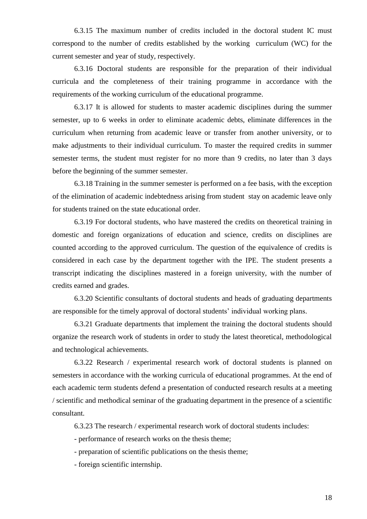6.3.15 The maximum number of credits included in the doctoral student IC must correspond to the number of credits established by the working curriculum (WC) for the current semester and year of study, respectively.

6.3.16 Doctoral students are responsible for the preparation of their individual curricula and the completeness of their training programme in accordance with the requirements of the working curriculum of the educational programme.

6.3.17 It is allowed for students to master academic disciplines during the summer semester, up to 6 weeks in order to eliminate academic debts, eliminate differences in the curriculum when returning from academic leave or transfer from another university, or to make adjustments to their individual curriculum. To master the required credits in summer semester terms, the student must register for no more than 9 credits, no later than 3 days before the beginning of the summer semester.

6.3.18 Training in the summer semester is performed on a fee basis, with the exception of the elimination of academic indebtedness arising from student stay on academic leave only for students trained on the state educational order.

6.3.19 For doctoral students, who have mastered the credits on theoretical training in domestic and foreign organizations of education and science, credits on disciplines are counted according to the approved curriculum. The question of the equivalence of credits is considered in each case by the department together with the IPE. The student presents a transcript indicating the disciplines mastered in a foreign university, with the number of credits earned and grades.

6.3.20 Scientific consultants of doctoral students and heads of graduating departments are responsible for the timely approval of doctoral students' individual working plans.

6.3.21 Graduate departments that implement the training the doctoral students should organize the research work of students in order to study the latest theoretical, methodological and technological achievements.

6.3.22 Research / experimental research work of doctoral students is planned on semesters in accordance with the working curricula of educational programmes. At the end of each academic term students defend a presentation of conducted research results at a meeting / scientific and methodical seminar of the graduating department in the presence of a scientific consultant.

6.3.23 The research / experimental research work of doctoral students includes:

- performance of research works on the thesis theme;

- preparation of scientific publications on the thesis theme;

- foreign scientific internship.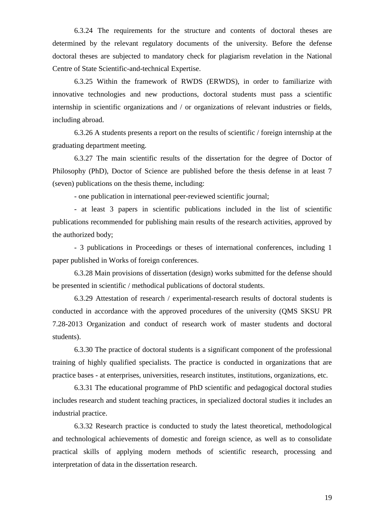6.3.24 The requirements for the structure and contents of doctoral theses are determined by the relevant regulatory documents of the university. Before the defense doctoral theses are subjected to mandatory check for plagiarism revelation in the National Centre of State Scientific-and-technical Expertise.

6.3.25 Within the framework of RWDS (ERWDS), in order to familiarize with innovative technologies and new productions, doctoral students must pass a scientific internship in scientific organizations and / or organizations of relevant industries or fields, including abroad.

6.3.26 A students presents a report on the results of scientific / foreign internship at the graduating department meeting.

6.3.27 The main scientific results of the dissertation for the degree of Doctor of Philosophy (PhD), Doctor of Science are published before the thesis defense in at least 7 (seven) publications on the thesis theme, including:

- one publication in international peer-reviewed scientific journal;

- at least 3 papers in scientific publications included in the list of scientific publications recommended for publishing main results of the research activities, approved by the authorized body;

- 3 publications in Proceedings or theses of international conferences, including 1 paper published in Works of foreign conferences.

6.3.28 Main provisions of dissertation (design) works submitted for the defense should be presented in scientific / methodical publications of doctoral students.

6.3.29 Attestation of research / experimental-research results of doctoral students is conducted in accordance with the approved procedures of the university (QMS SKSU PR 7.28-2013 Organization and conduct of research work of master students and doctoral students).

6.3.30 The practice of doctoral students is a significant component of the professional training of highly qualified specialists. The practice is conducted in organizations that are practice bases - at enterprises, universities, research institutes, institutions, organizations, etc.

6.3.31 The educational programme of PhD scientific and pedagogical doctoral studies includes research and student teaching practices, in specialized doctoral studies it includes an industrial practice.

6.3.32 Research practice is conducted to study the latest theoretical, methodological and technological achievements of domestic and foreign science, as well as to consolidate practical skills of applying modern methods of scientific research, processing and interpretation of data in the dissertation research.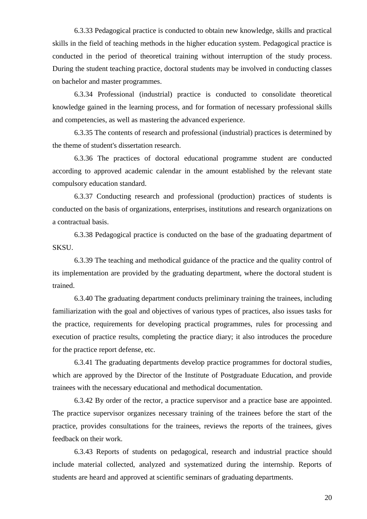6.3.33 Pedagogical practice is conducted to obtain new knowledge, skills and practical skills in the field of teaching methods in the higher education system. Pedagogical practice is conducted in the period of theoretical training without interruption of the study process. During the student teaching practice, doctoral students may be involved in conducting classes on bachelor and master programmes.

6.3.34 Professional (industrial) practice is conducted to consolidate theoretical knowledge gained in the learning process, and for formation of necessary professional skills and competencies, as well as mastering the advanced experience.

6.3.35 The contents of research and professional (industrial) practices is determined by the theme of student's dissertation research.

6.3.36 The practices of doctoral educational programme student are conducted according to approved academic calendar in the amount established by the relevant state compulsory education standard.

6.3.37 Conducting research and professional (production) practices of students is conducted on the basis of organizations, enterprises, institutions and research organizations on a contractual basis.

6.3.38 Pedagogical practice is conducted on the base of the graduating department of **SKSU.** 

6.3.39 The teaching and methodical guidance of the practice and the quality control of its implementation are provided by the graduating department, where the doctoral student is trained.

6.3.40 The graduating department conducts preliminary training the trainees, including familiarization with the goal and objectives of various types of practices, also issues tasks for the practice, requirements for developing practical programmes, rules for processing and execution of practice results, completing the practice diary; it also introduces the procedure for the practice report defense, etc.

6.3.41 The graduating departments develop practice programmes for doctoral studies, which are approved by the Director of the Institute of Postgraduate Education, and provide trainees with the necessary educational and methodical documentation.

6.3.42 By order of the rector, a practice supervisor and a practice base are appointed. The practice supervisor organizes necessary training of the trainees before the start of the practice, provides consultations for the trainees, reviews the reports of the trainees, gives feedback on their work.

6.3.43 Reports of students on pedagogical, research and industrial practice should include material collected, analyzed and systematized during the internship. Reports of students are heard and approved at scientific seminars of graduating departments.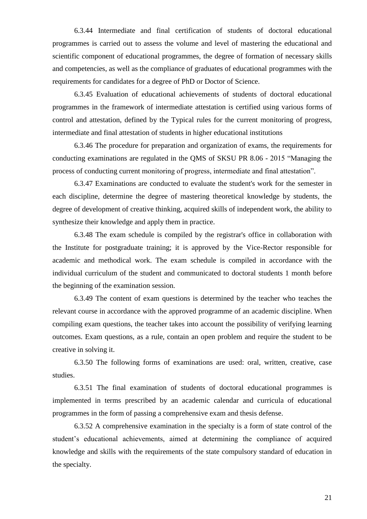6.3.44 Intermediate and final certification of students of doctoral educational programmes is carried out to assess the volume and level of mastering the educational and scientific component of educational programmes, the degree of formation of necessary skills and competencies, as well as the compliance of graduates of educational programmes with the requirements for candidates for a degree of PhD or Doctor of Science.

6.3.45 Evaluation of educational achievements of students of doctoral educational programmes in the framework of intermediate attestation is certified using various forms of control and attestation, defined by the Typical rules for the current monitoring of progress, intermediate and final attestation of students in higher educational institutions

6.3.46 The procedure for preparation and organization of exams, the requirements for conducting examinations are regulated in the QMS of SKSU PR 8.06 - 2015 "Managing the process of conducting current monitoring of progress, intermediate and final attestation".

6.3.47 Examinations are conducted to evaluate the student's work for the semester in each discipline, determine the degree of mastering theoretical knowledge by students, the degree of development of creative thinking, acquired skills of independent work, the ability to synthesize their knowledge and apply them in practice.

6.3.48 The exam schedule is compiled by the registrar's office in collaboration with the Institute for postgraduate training; it is approved by the Vice-Rector responsible for academic and methodical work. The exam schedule is compiled in accordance with the individual curriculum of the student and communicated to doctoral students 1 month before the beginning of the examination session.

6.3.49 The content of exam questions is determined by the teacher who teaches the relevant course in accordance with the approved programme of an academic discipline. When compiling exam questions, the teacher takes into account the possibility of verifying learning outcomes. Exam questions, as a rule, contain an open problem and require the student to be creative in solving it.

6.3.50 The following forms of examinations are used: oral, written, creative, case studies.

6.3.51 The final examination of students of doctoral educational programmes is implemented in terms prescribed by an academic calendar and curricula of educational programmes in the form of passing a comprehensive exam and thesis defense.

6.3.52 A comprehensive examination in the specialty is a form of state control of the student's educational achievements, aimed at determining the compliance of acquired knowledge and skills with the requirements of the state compulsory standard of education in the specialty.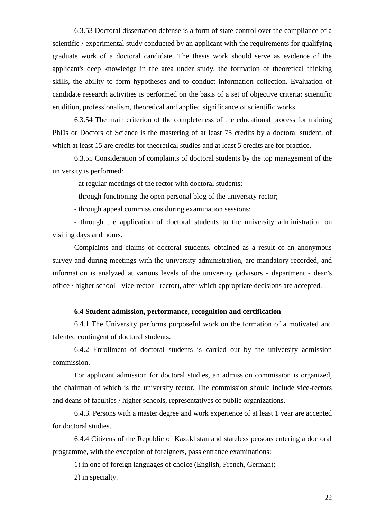6.3.53 Doctoral dissertation defense is a form of state control over the compliance of a scientific / experimental study conducted by an applicant with the requirements for qualifying graduate work of a doctoral candidate. The thesis work should serve as evidence of the applicant's deep knowledge in the area under study, the formation of theoretical thinking skills, the ability to form hypotheses and to conduct information collection. Evaluation of candidate research activities is performed on the basis of a set of objective criteria: scientific erudition, professionalism, theoretical and applied significance of scientific works.

6.3.54 The main criterion of the completeness of the educational process for training PhDs or Doctors of Science is the mastering of at least 75 credits by a doctoral student, of which at least 15 are credits for theoretical studies and at least 5 credits are for practice.

6.3.55 Consideration of complaints of doctoral students by the top management of the university is performed:

- at regular meetings of the rector with doctoral students;

- through functioning the open personal blog of the university rector;

- through appeal commissions during examination sessions;

- through the application of doctoral students to the university administration on visiting days and hours.

Complaints and claims of doctoral students, obtained as a result of an anonymous survey and during meetings with the university administration, are mandatory recorded, and information is analyzed at various levels of the university (advisors - department - dean's office / higher school - vice-rector - rector), after which appropriate decisions are accepted.

## **6.4 Student admission, performance, recognition and certification**

<span id="page-21-0"></span>6.4.1 The University performs purposeful work on the formation of a motivated and talented contingent of doctoral students.

6.4.2 Enrollment of doctoral students is carried out by the university admission commission.

For applicant admission for doctoral studies, an admission commission is organized, the chairman of which is the university rector. The commission should include vice-rectors and deans of faculties / higher schools, representatives of public organizations.

6.4.3. Persons with a master degree and work experience of at least 1 year are accepted for doctoral studies.

6.4.4 Citizens of the Republic of Kazakhstan and stateless persons entering a doctoral programme, with the exception of foreigners, pass entrance examinations:

1) in one of foreign languages of choice (English, French, German);

2) in specialty.

22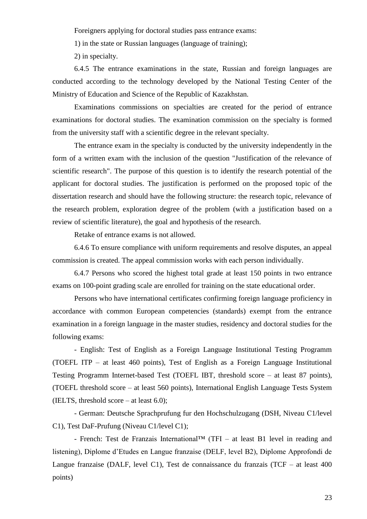Foreigners applying for doctoral studies pass entrance exams:

1) in the state or Russian languages (language of training);

2) in specialty.

6.4.5 The entrance examinations in the state, Russian and foreign languages are conducted according to the technology developed by the National Testing Center of the Ministry of Education and Science of the Republic of Kazakhstan.

Examinations commissions on specialties are created for the period of entrance examinations for doctoral studies. The examination commission on the specialty is formed from the university staff with a scientific degree in the relevant specialty.

The entrance exam in the specialty is conducted by the university independently in the form of a written exam with the inclusion of the question "Justification of the relevance of scientific research". The purpose of this question is to identify the research potential of the applicant for doctoral studies. The justification is performed on the proposed topic of the dissertation research and should have the following structure: the research topic, relevance of the research problem, exploration degree of the problem (with a justification based on a review of scientific literature), the goal and hypothesis of the research.

Retake of entrance exams is not allowed.

6.4.6 To ensure compliance with uniform requirements and resolve disputes, an appeal commission is created. The appeal commission works with each person individually.

6.4.7 Persons who scored the highest total grade at least 150 points in two entrance exams on 100-point grading scale are enrolled for training on the state educational order.

Persons who have international certificates confirming foreign language proficiency in accordance with common European competencies (standards) exempt from the entrance examination in a foreign language in the master studies, residency and doctoral studies for the following exams:

- English: Test of English as a Foreign Language Institutional Testing Programm (TOEFL ITP – at least 460 points), Test of English as a Foreign Language Institutional Testing Programm Internet-based Test (TOEFL IBT, threshold score – at least 87 points), (TOEFL threshold score – at least 560 points), International English Language Tests System (IELTS, threshold score  $-$  at least 6.0);

- German: Deutsche Sprachprufung fur den Hochschulzugang (DSH, Niveau С1/level C1), Test DaF-Prufung (Niveau C1/level C1);

- French: Test de Franzais International<sup>TM</sup> (TFI – at least B1 level in reading and listening), Diplome d'Etudes en Langue franzaise (DELF, level B2), Diplome Approfondi de Langue franzaise (DALF, level C1), Test de connaissance du franzais (TCF – at least 400 points)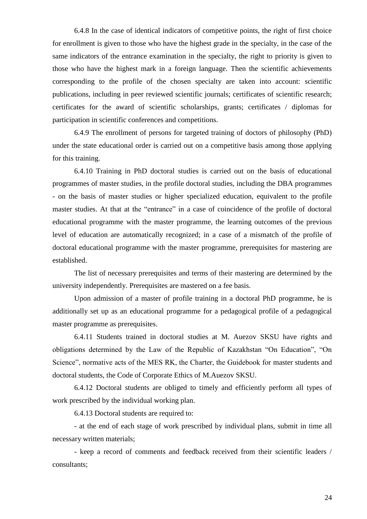6.4.8 In the case of identical indicators of competitive points, the right of first choice for enrollment is given to those who have the highest grade in the specialty, in the case of the same indicators of the entrance examination in the specialty, the right to priority is given to those who have the highest mark in a foreign language. Then the scientific achievements corresponding to the profile of the chosen specialty are taken into account: scientific publications, including in peer reviewed scientific journals; certificates of scientific research; certificates for the award of scientific scholarships, grants; certificates / diplomas for participation in scientific conferences and competitions.

6.4.9 The enrollment of persons for targeted training of doctors of philosophy (PhD) under the state educational order is carried out on a competitive basis among those applying for this training.

6.4.10 Training in PhD doctoral studies is carried out on the basis of educational programmes of master studies, in the profile doctoral studies, including the DBA programmes - on the basis of master studies or higher specialized education, equivalent to the profile master studies. At that at the "entrance" in a case of coincidence of the profile of doctoral educational programme with the master programme, the learning outcomes of the previous level of education are automatically recognized; in a case of a mismatch of the profile of doctoral educational programme with the master programme, prerequisites for mastering are established.

The list of necessary prerequisites and terms of their mastering are determined by the university independently. Prerequisites are mastered on a fee basis.

Upon admission of a master of profile training in a doctoral PhD programme, he is additionally set up as an educational programme for a pedagogical profile of a pedagogical master programme as prerequisites.

6.4.11 Students trained in doctoral studies at M. Auezov SKSU have rights and obligations determined by the Law of the Republic of Kazakhstan "On Education", "On Science", normative acts of the MES RK, the Charter, the Guidebook for master students and doctoral students, the Code of Corporate Ethics of M.Auezov SKSU.

6.4.12 Doctoral students are obliged to timely and efficiently perform all types of work prescribed by the individual working plan.

6.4.13 Doctoral students are required to:

- at the end of each stage of work prescribed by individual plans, submit in time all necessary written materials;

- keep a record of comments and feedback received from their scientific leaders / consultants;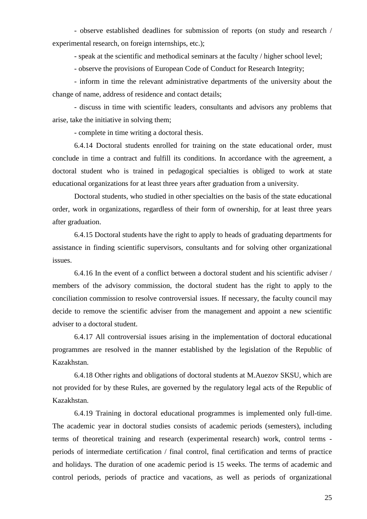- observe established deadlines for submission of reports (on study and research / experimental research, on foreign internships, etc.);

- speak at the scientific and methodical seminars at the faculty / higher school level;

- observe the provisions of European Code of Conduct for Research Integrity;

- inform in time the relevant administrative departments of the university about the change of name, address of residence and contact details;

- discuss in time with scientific leaders, consultants and advisors any problems that arise, take the initiative in solving them;

- complete in time writing a doctoral thesis.

6.4.14 Doctoral students enrolled for training on the state educational order, must conclude in time a contract and fulfill its conditions. In accordance with the agreement, a doctoral student who is trained in pedagogical specialties is obliged to work at state educational organizations for at least three years after graduation from a university.

Doctoral students, who studied in other specialties on the basis of the state educational order, work in organizations, regardless of their form of ownership, for at least three years after graduation.

6.4.15 Doctoral students have the right to apply to heads of graduating departments for assistance in finding scientific supervisors, consultants and for solving other organizational issues.

6.4.16 In the event of a conflict between a doctoral student and his scientific adviser / members of the advisory commission, the doctoral student has the right to apply to the conciliation commission to resolve controversial issues. If necessary, the faculty council may decide to remove the scientific adviser from the management and appoint a new scientific adviser to a doctoral student.

6.4.17 All controversial issues arising in the implementation of doctoral educational programmes are resolved in the manner established by the legislation of the Republic of Kazakhstan.

6.4.18 Other rights and obligations of doctoral students at M.Auezov SKSU, which are not provided for by these Rules, are governed by the regulatory legal acts of the Republic of Kazakhstan.

6.4.19 Training in doctoral educational programmes is implemented only full-time. The academic year in doctoral studies consists of academic periods (semesters), including terms of theoretical training and research (experimental research) work, control terms periods of intermediate certification / final control, final certification and terms of practice and holidays. The duration of one academic period is 15 weeks. The terms of academic and control periods, periods of practice and vacations, as well as periods of organizational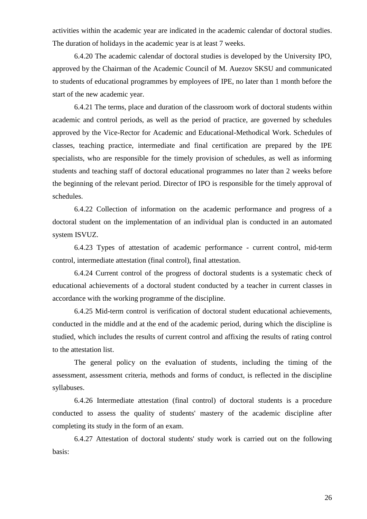activities within the academic year are indicated in the academic calendar of doctoral studies. The duration of holidays in the academic year is at least 7 weeks.

6.4.20 The academic calendar of doctoral studies is developed by the University IPO, approved by the Chairman of the Academic Council of M. Auezov SKSU and communicated to students of educational programmes by employees of IPE, no later than 1 month before the start of the new academic year.

6.4.21 The terms, place and duration of the classroom work of doctoral students within academic and control periods, as well as the period of practice, are governed by schedules approved by the Vice-Rector for Academic and Educational-Methodical Work. Schedules of classes, teaching practice, intermediate and final certification are prepared by the IPE specialists, who are responsible for the timely provision of schedules, as well as informing students and teaching staff of doctoral educational programmes no later than 2 weeks before the beginning of the relevant period. Director of IPO is responsible for the timely approval of schedules.

6.4.22 Collection of information on the academic performance and progress of a doctoral student on the implementation of an individual plan is conducted in an automated system ISVUZ.

6.4.23 Types of attestation of academic performance - current control, mid-term control, intermediate attestation (final control), final attestation.

6.4.24 Current control of the progress of doctoral students is a systematic check of educational achievements of a doctoral student conducted by a teacher in current classes in accordance with the working programme of the discipline.

6.4.25 Mid-term control is verification of doctoral student educational achievements, conducted in the middle and at the end of the academic period, during which the discipline is studied, which includes the results of current control and affixing the results of rating control to the attestation list.

The general policy on the evaluation of students, including the timing of the assessment, assessment criteria, methods and forms of conduct, is reflected in the discipline syllabuses.

6.4.26 Intermediate attestation (final control) of doctoral students is a procedure conducted to assess the quality of students' mastery of the academic discipline after completing its study in the form of an exam.

6.4.27 Attestation of doctoral students' study work is carried out on the following basis: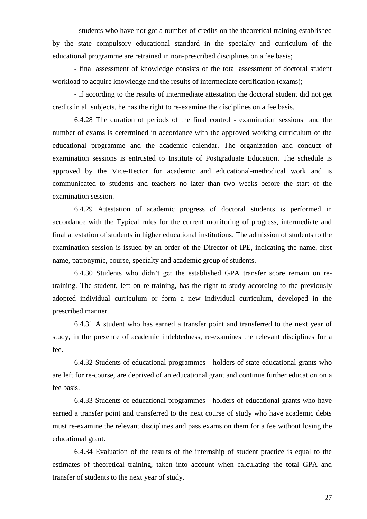- students who have not got a number of credits on the theoretical training established by the state compulsory educational standard in the specialty and curriculum of the educational programme are retrained in non-prescribed disciplines on a fee basis;

- final assessment of knowledge consists of the total assessment of doctoral student workload to acquire knowledge and the results of intermediate certification (exams);

- if according to the results of intermediate attestation the doctoral student did not get credits in all subjects, he has the right to re-examine the disciplines on a fee basis.

6.4.28 The duration of periods of the final control - examination sessions and the number of exams is determined in accordance with the approved working curriculum of the educational programme and the academic calendar. The organization and conduct of examination sessions is entrusted to Institute of Postgraduate Education. The schedule is approved by the Vice-Rector for academic and educational-methodical work and is communicated to students and teachers no later than two weeks before the start of the examination session.

6.4.29 Attestation of academic progress of doctoral students is performed in accordance with the Typical rules for the current monitoring of progress, intermediate and final attestation of students in higher educational institutions. The admission of students to the examination session is issued by an order of the Director of IPE, indicating the name, first name, patronymic, course, specialty and academic group of students.

6.4.30 Students who didn't get the established GPA transfer score remain on retraining. The student, left on re-training, has the right to study according to the previously adopted individual curriculum or form a new individual curriculum, developed in the prescribed manner.

6.4.31 A student who has earned a transfer point and transferred to the next year of study, in the presence of academic indebtedness, re-examines the relevant disciplines for a fee.

6.4.32 Students of educational programmes - holders of state educational grants who are left for re-course, are deprived of an educational grant and continue further education on a fee basis.

6.4.33 Students of educational programmes - holders of educational grants who have earned a transfer point and transferred to the next course of study who have academic debts must re-examine the relevant disciplines and pass exams on them for a fee without losing the educational grant.

6.4.34 Evaluation of the results of the internship of student practice is equal to the estimates of theoretical training, taken into account when calculating the total GPA and transfer of students to the next year of study.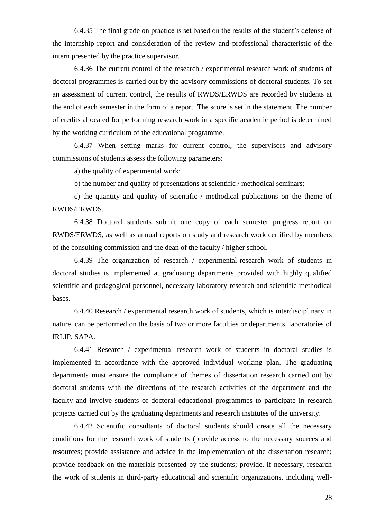6.4.35 The final grade on practice is set based on the results of the student's defense of the internship report and consideration of the review and professional characteristic of the intern presented by the practice supervisor.

6.4.36 The current control of the research / experimental research work of students of doctoral programmes is carried out by the advisory commissions of doctoral students. To set an assessment of current control, the results of RWDS/ERWDS are recorded by students at the end of each semester in the form of a report. The score is set in the statement. The number of credits allocated for performing research work in a specific academic period is determined by the working curriculum of the educational programme.

6.4.37 When setting marks for current control, the supervisors and advisory commissions of students assess the following parameters:

a) the quality of experimental work;

b) the number and quality of presentations at scientific / methodical seminars;

c) the quantity and quality of scientific / methodical publications on the theme of RWDS/ERWDS.

6.4.38 Doctoral students submit one copy of each semester progress report on RWDS/ERWDS, as well as annual reports on study and research work certified by members of the consulting commission and the dean of the faculty / higher school.

6.4.39 The organization of research / experimental-research work of students in doctoral studies is implemented at graduating departments provided with highly qualified scientific and pedagogical personnel, necessary laboratory-research and scientific-methodical bases.

6.4.40 Research / experimental research work of students, which is interdisciplinary in nature, can be performed on the basis of two or more faculties or departments, laboratories of IRLIP, SAPA.

6.4.41 Research / experimental research work of students in doctoral studies is implemented in accordance with the approved individual working plan. The graduating departments must ensure the compliance of themes of dissertation research carried out by doctoral students with the directions of the research activities of the department and the faculty and involve students of doctoral educational programmes to participate in research projects carried out by the graduating departments and research institutes of the university.

6.4.42 Scientific consultants of doctoral students should create all the necessary conditions for the research work of students (provide access to the necessary sources and resources; provide assistance and advice in the implementation of the dissertation research; provide feedback on the materials presented by the students; provide, if necessary, research the work of students in third-party educational and scientific organizations, including well-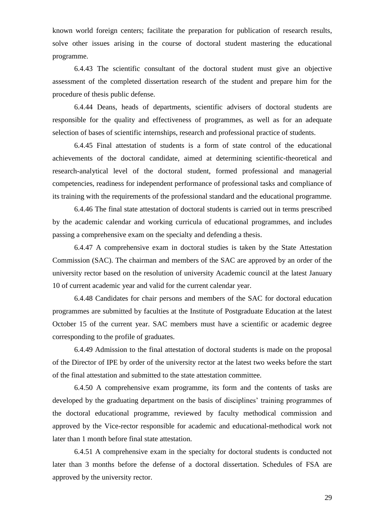known world foreign centers; facilitate the preparation for publication of research results, solve other issues arising in the course of doctoral student mastering the educational programme.

6.4.43 The scientific consultant of the doctoral student must give an objective assessment of the completed dissertation research of the student and prepare him for the procedure of thesis public defense.

6.4.44 Deans, heads of departments, scientific advisers of doctoral students are responsible for the quality and effectiveness of programmes, as well as for an adequate selection of bases of scientific internships, research and professional practice of students.

6.4.45 Final attestation of students is a form of state control of the educational achievements of the doctoral candidate, aimed at determining scientific-theoretical and research-analytical level of the doctoral student, formed professional and managerial competencies, readiness for independent performance of professional tasks and compliance of its training with the requirements of the professional standard and the educational programme.

6.4.46 The final state attestation of doctoral students is carried out in terms prescribed by the academic calendar and working curricula of educational programmes, and includes passing a comprehensive exam on the specialty and defending a thesis.

6.4.47 A comprehensive exam in doctoral studies is taken by the State Attestation Commission (SAC). The chairman and members of the SAC are approved by an order of the university rector based on the resolution of university Academic council at the latest January 10 of current academic year and valid for the current calendar year.

6.4.48 Candidates for chair persons and members of the SAC for doctoral education programmes are submitted by faculties at the Institute of Postgraduate Education at the latest October 15 of the current year. SAC members must have a scientific or academic degree corresponding to the profile of graduates.

6.4.49 Admission to the final attestation of doctoral students is made on the proposal of the Director of IPE by order of the university rector at the latest two weeks before the start of the final attestation and submitted to the state attestation committee.

6.4.50 A comprehensive exam programme, its form and the contents of tasks are developed by the graduating department on the basis of disciplines' training programmes of the doctoral educational programme, reviewed by faculty methodical commission and approved by the Vice-rector responsible for academic and educational-methodical work not later than 1 month before final state attestation.

6.4.51 A comprehensive exam in the specialty for doctoral students is conducted not later than 3 months before the defense of a doctoral dissertation. Schedules of FSA are approved by the university rector.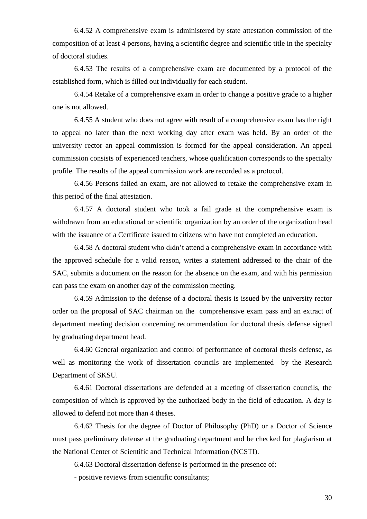6.4.52 A comprehensive exam is administered by state attestation commission of the composition of at least 4 persons, having a scientific degree and scientific title in the specialty of doctoral studies.

6.4.53 The results of a comprehensive exam are documented by a protocol of the established form, which is filled out individually for each student.

6.4.54 Retake of a comprehensive exam in order to change a positive grade to a higher one is not allowed.

6.4.55 A student who does not agree with result of a comprehensive exam has the right to appeal no later than the next working day after exam was held. By an order of the university rector an appeal commission is formed for the appeal consideration. An appeal commission consists of experienced teachers, whose qualification corresponds to the specialty profile. The results of the appeal commission work are recorded as a protocol.

6.4.56 Persons failed an exam, are not allowed to retake the comprehensive exam in this period of the final attestation.

6.4.57 A doctoral student who took a fail grade at the comprehensive exam is withdrawn from an educational or scientific organization by an order of the organization head with the issuance of a Certificate issued to citizens who have not completed an education.

6.4.58 A doctoral student who didn't attend a comprehensive exam in accordance with the approved schedule for a valid reason, writes a statement addressed to the chair of the SAC, submits a document on the reason for the absence on the exam, and with his permission can pass the exam on another day of the commission meeting.

6.4.59 Admission to the defense of a doctoral thesis is issued by the university rector order on the proposal of SAC chairman on the comprehensive exam pass and an extract of department meeting decision concerning recommendation for doctoral thesis defense signed by graduating department head.

6.4.60 General organization and control of performance of doctoral thesis defense, as well as monitoring the work of dissertation councils are implemented by the Research Department of SKSU.

6.4.61 Doctoral dissertations are defended at a meeting of dissertation councils, the composition of which is approved by the authorized body in the field of education. A day is allowed to defend not more than 4 theses.

6.4.62 Thesis for the degree of Doctor of Philosophy (PhD) or a Doctor of Science must pass preliminary defense at the graduating department and be checked for plagiarism at the National Center of Scientific and Technical Information (NCSTI).

6.4.63 Doctoral dissertation defense is performed in the presence of:

- positive reviews from scientific consultants;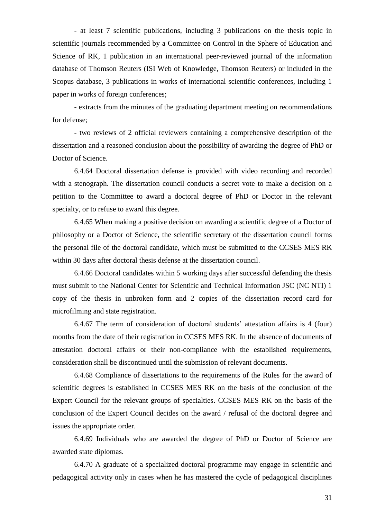- at least 7 scientific publications, including 3 publications on the thesis topic in scientific journals recommended by a Committee on Control in the Sphere of Education and Science of RK, 1 publication in an international peer-reviewed journal of the information database of Thomson Reuters (ISI Web of Knowledge, Thomson Reuters) or included in the Scopus database, 3 publications in works of international scientific conferences, including 1 paper in works of foreign conferences;

- extracts from the minutes of the graduating department meeting on recommendations for defense;

- two reviews of 2 official reviewers containing a comprehensive description of the dissertation and a reasoned conclusion about the possibility of awarding the degree of PhD or Doctor of Science.

6.4.64 Doctoral dissertation defense is provided with video recording and recorded with a stenograph. The dissertation council conducts a secret vote to make a decision on a petition to the Committee to award a doctoral degree of PhD or Doctor in the relevant specialty, or to refuse to award this degree.

6.4.65 When making a positive decision on awarding a scientific degree of a Doctor of philosophy or a Doctor of Science, the scientific secretary of the dissertation council forms the personal file of the doctoral candidate, which must be submitted to the CCSES MES RK within 30 days after doctoral thesis defense at the dissertation council.

6.4.66 Doctoral candidates within 5 working days after successful defending the thesis must submit to the National Center for Scientific and Technical Information JSC (NC NTI) 1 copy of the thesis in unbroken form and 2 copies of the dissertation record card for microfilming and state registration.

6.4.67 The term of consideration of doctoral students' attestation affairs is 4 (four) months from the date of their registration in CCSES MES RK. In the absence of documents of attestation doctoral affairs or their non-compliance with the established requirements, consideration shall be discontinued until the submission of relevant documents.

6.4.68 Compliance of dissertations to the requirements of the Rules for the award of scientific degrees is established in CCSES MES RK on the basis of the conclusion of the Expert Council for the relevant groups of specialties. CCSES MES RK on the basis of the conclusion of the Expert Council decides on the award / refusal of the doctoral degree and issues the appropriate order.

6.4.69 Individuals who are awarded the degree of PhD or Doctor of Science are awarded state diplomas.

6.4.70 A graduate of a specialized doctoral programme may engage in scientific and pedagogical activity only in cases when he has mastered the cycle of pedagogical disciplines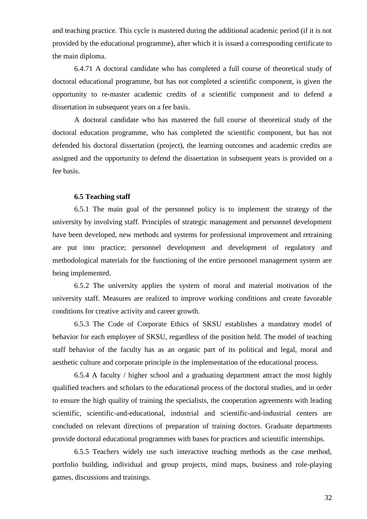and teaching practice. This cycle is mastered during the additional academic period (if it is not provided by the educational programme), after which it is issued a corresponding certificate to the main diploma.

6.4.71 A doctoral candidate who has completed a full course of theoretical study of doctoral educational programme, but has not completed a scientific component, is given the opportunity to re-master academic credits of a scientific component and to defend a dissertation in subsequent years on a fee basis.

A doctoral candidate who has mastered the full course of theoretical study of the doctoral education programme, who has completed the scientific component, but has not defended his doctoral dissertation (project), the learning outcomes and academic credits are assigned and the opportunity to defend the dissertation in subsequent years is provided on a fee basis.

#### **6.5 Teaching staff**

<span id="page-31-0"></span>6.5.1 The main goal of the personnel policy is to implement the strategy of the university by involving staff. Principles of strategic management and personnel development have been developed, new methods and systems for professional improvement and retraining are put into practice; personnel development and development of regulatory and methodological materials for the functioning of the entire personnel management system are being implemented.

6.5.2 The university applies the system of moral and material motivation of the university staff. Measures are realized to improve working conditions and create favorable conditions for creative activity and career growth.

6.5.3 The Code of Corporate Ethics of SKSU establishes a mandatory model of behavior for each employee of SKSU, regardless of the position held. The model of teaching staff behavior of the faculty has as an organic part of its political and legal, moral and aesthetic culture and corporate principle in the implementation of the educational process.

6.5.4 A faculty / higher school and a graduating department attract the most highly qualified teachers and scholars to the educational process of the doctoral studies, and in order to ensure the high quality of training the specialists, the cooperation agreements with leading scientific, scientific-and-educational, industrial and scientific-and-industrial centers are concluded on relevant directions of preparation of training doctors. Graduate departments provide doctoral educational programmes with bases for practices and scientific internships.

6.5.5 Teachers widely use such interactive teaching methods as the case method, portfolio building, individual and group projects, mind maps, business and role-playing games, discussions and trainings.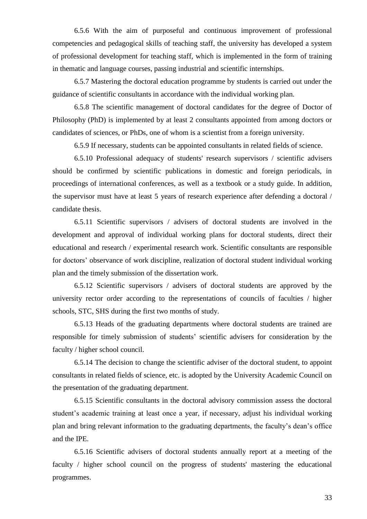6.5.6 With the aim of purposeful and continuous improvement of professional competencies and pedagogical skills of teaching staff, the university has developed a system of professional development for teaching staff, which is implemented in the form of training in thematic and language courses, passing industrial and scientific internships.

6.5.7 Mastering the doctoral education programme by students is carried out under the guidance of scientific consultants in accordance with the individual working plan.

6.5.8 The scientific management of doctoral candidates for the degree of Doctor of Philosophy (PhD) is implemented by at least 2 consultants appointed from among doctors or candidates of sciences, or PhDs, one of whom is a scientist from a foreign university.

6.5.9 If necessary, students can be appointed consultants in related fields of science.

6.5.10 Professional adequacy of students' research supervisors / scientific advisers should be confirmed by scientific publications in domestic and foreign periodicals, in proceedings of international conferences, as well as a textbook or a study guide. In addition, the supervisor must have at least 5 years of research experience after defending a doctoral / candidate thesis.

6.5.11 Scientific supervisors / advisers of doctoral students are involved in the development and approval of individual working plans for doctoral students, direct their educational and research / experimental research work. Scientific consultants are responsible for doctors' observance of work discipline, realization of doctoral student individual working plan and the timely submission of the dissertation work.

6.5.12 Scientific supervisors / advisers of doctoral students are approved by the university rector order according to the representations of councils of faculties / higher schools, STC, SHS during the first two months of study.

6.5.13 Heads of the graduating departments where doctoral students are trained are responsible for timely submission of students' scientific advisers for consideration by the faculty / higher school council.

6.5.14 The decision to change the scientific adviser of the doctoral student, to appoint consultants in related fields of science, etc. is adopted by the University Academic Council on the presentation of the graduating department.

6.5.15 Scientific consultants in the doctoral advisory commission assess the doctoral student's academic training at least once a year, if necessary, adjust his individual working plan and bring relevant information to the graduating departments, the faculty's dean's office and the IPE.

6.5.16 Scientific advisers of doctoral students annually report at a meeting of the faculty / higher school council on the progress of students' mastering the educational programmes.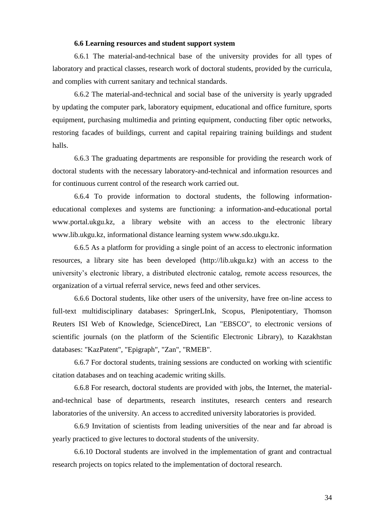## **6.6 Learning resources and student support system**

<span id="page-33-0"></span>6.6.1 The material-and-technical base of the university provides for all types of laboratory and practical classes, research work of doctoral students, provided by the curricula, and complies with current sanitary and technical standards.

6.6.2 The material-and-technical and social base of the university is yearly upgraded by updating the computer park, laboratory equipment, educational and office furniture, sports equipment, purchasing multimedia and printing equipment, conducting fiber optic networks, restoring facades of buildings, current and capital repairing training buildings and student halls.

6.6.3 The graduating departments are responsible for providing the research work of doctoral students with the necessary laboratory-and-technical and information resources and for continuous current control of the research work carried out.

6.6.4 To provide information to doctoral students, the following informationeducational complexes and systems are functioning: a information-and-educational portal www.portal.ukgu.kz, a library website with an access to the electronic library www.lib.ukgu.kz, informational distance learning system www.sdo.ukgu.kz.

6.6.5 As a platform for providing a single point of an access to electronic information resources, a library site has been developed (http://lib.ukgu.kz) with an access to the university's electronic library, a distributed electronic catalog, remote access resources, the organization of a virtual referral service, news feed and other services.

6.6.6 Doctoral students, like other users of the university, have free on-line access to full-text multidisciplinary databases: SpringerLInk, Scopus, Plenipotentiary, Thomson Reuters ISI Web of Knowledge, ScienceDirect, Lan "EBSCO", to electronic versions of scientific journals (on the platform of the Scientific Electronic Library), to Kazakhstan databases: "KazPatent", "Epigraph", "Zan", "RMEB".

6.6.7 For doctoral students, training sessions are conducted on working with scientific citation databases and on teaching academic writing skills.

6.6.8 For research, doctoral students are provided with jobs, the Internet, the materialand-technical base of departments, research institutes, research centers and research laboratories of the university. An access to accredited university laboratories is provided.

6.6.9 Invitation of scientists from leading universities of the near and far abroad is yearly practiced to give lectures to doctoral students of the university.

6.6.10 Doctoral students are involved in the implementation of grant and contractual research projects on topics related to the implementation of doctoral research.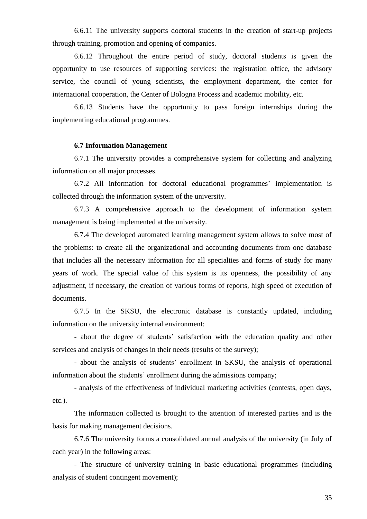6.6.11 The university supports doctoral students in the creation of start-up projects through training, promotion and opening of companies.

6.6.12 Throughout the entire period of study, doctoral students is given the opportunity to use resources of supporting services: the registration office, the advisory service, the council of young scientists, the employment department, the center for international cooperation, the Center of Bologna Process and academic mobility, etc.

6.6.13 Students have the opportunity to pass foreign internships during the implementing educational programmes.

# **6.7 Information Management**

<span id="page-34-0"></span>6.7.1 The university provides a comprehensive system for collecting and analyzing information on all major processes.

6.7.2 All information for doctoral educational programmes' implementation is collected through the information system of the university.

6.7.3 A comprehensive approach to the development of information system management is being implemented at the university.

6.7.4 The developed automated learning management system allows to solve most of the problems: to create all the organizational and accounting documents from one database that includes all the necessary information for all specialties and forms of study for many years of work. The special value of this system is its openness, the possibility of any adjustment, if necessary, the creation of various forms of reports, high speed of execution of documents.

6.7.5 In the SKSU, the electronic database is constantly updated, including information on the university internal environment:

- about the degree of students' satisfaction with the education quality and other services and analysis of changes in their needs (results of the survey);

- about the analysis of students' enrollment in SKSU, the analysis of operational information about the students' enrollment during the admissions company;

- analysis of the effectiveness of individual marketing activities (contests, open days, etc.).

The information collected is brought to the attention of interested parties and is the basis for making management decisions.

6.7.6 The university forms a consolidated annual analysis of the university (in July of each year) in the following areas:

- The structure of university training in basic educational programmes (including analysis of student contingent movement);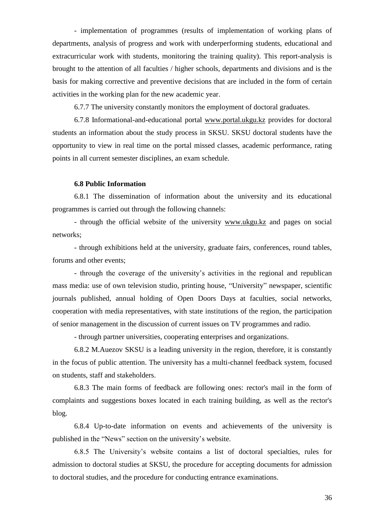- implementation of programmes (results of implementation of working plans of departments, analysis of progress and work with underperforming students, educational and extracurricular work with students, monitoring the training quality). This report-analysis is brought to the attention of all faculties / higher schools, departments and divisions and is the basis for making corrective and preventive decisions that are included in the form of certain activities in the working plan for the new academic year.

6.7.7 The university constantly monitors the employment of doctoral graduates.

6.7.8 Informational-and-educational portal [www.portal.ukgu.kz](http://www.portal.ukgu.kz/) provides for doctoral students an information about the study process in SKSU. SKSU doctoral students have the opportunity to view in real time on the portal missed classes, academic performance, rating points in all current semester disciplines, an exam schedule.

#### **6.8 Public Information**

<span id="page-35-0"></span>6.8.1 The dissemination of information about the university and its educational programmes is carried out through the following channels:

- through the official website of the university [www.ukgu.kz](http://www.ukgu.kz/) and pages on social networks;

- through exhibitions held at the university, graduate fairs, conferences, round tables, forums and other events;

- through the coverage of the university's activities in the regional and republican mass media: use of own television studio, printing house, "University" newspaper, scientific journals published, annual holding of Open Doors Days at faculties, social networks, cooperation with media representatives, with state institutions of the region, the participation of senior management in the discussion of current issues on TV programmes and radio.

- through partner universities, cooperating enterprises and organizations.

6.8.2 M.Auezov SKSU is a leading university in the region, therefore, it is constantly in the focus of public attention. The university has a multi-channel feedback system, focused on students, staff and stakeholders.

6.8.3 The main forms of feedback are following ones: rector's mail in the form of complaints and suggestions boxes located in each training building, as well as the rector's blog.

6.8.4 Up-to-date information on events and achievements of the university is published in the "News" section on the university's website.

6.8.5 The University's website contains a list of doctoral specialties, rules for admission to doctoral studies at SKSU, the procedure for accepting documents for admission to doctoral studies, and the procedure for conducting entrance examinations.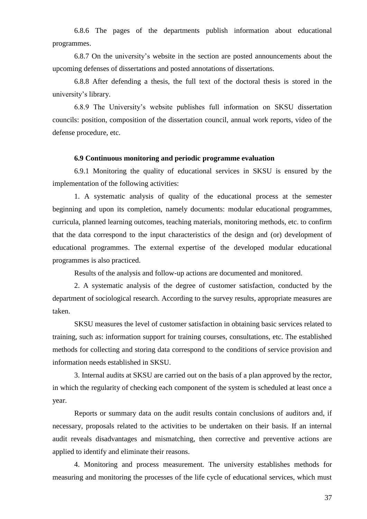6.8.6 The pages of the departments publish information about educational programmes.

6.8.7 On the university's website in the section are posted announcements about the upcoming defenses of dissertations and posted annotations of dissertations.

6.8.8 After defending a thesis, the full text of the doctoral thesis is stored in the university's library.

6.8.9 The University's website publishes full information on SKSU dissertation councils: position, composition of the dissertation council, annual work reports, video of the defense procedure, etc.

# **6.9 Continuous monitoring and periodic programme evaluation**

<span id="page-36-0"></span>6.9.1 Monitoring the quality of educational services in SKSU is ensured by the implementation of the following activities:

1. A systematic analysis of quality of the educational process at the semester beginning and upon its completion, namely documents: modular educational programmes, curricula, planned learning outcomes, teaching materials, monitoring methods, etc. to confirm that the data correspond to the input characteristics of the design and (or) development of educational programmes. The external expertise of the developed modular educational programmes is also practiced.

Results of the analysis and follow-up actions are documented and monitored.

2. A systematic analysis of the degree of customer satisfaction, conducted by the department of sociological research. According to the survey results, appropriate measures are taken.

SKSU measures the level of customer satisfaction in obtaining basic services related to training, such as: information support for training courses, consultations, etc. The established methods for collecting and storing data correspond to the conditions of service provision and information needs established in SKSU.

3. Internal audits at SKSU are carried out on the basis of a plan approved by the rector, in which the regularity of checking each component of the system is scheduled at least once a year.

Reports or summary data on the audit results contain conclusions of auditors and, if necessary, proposals related to the activities to be undertaken on their basis. If an internal audit reveals disadvantages and mismatching, then corrective and preventive actions are applied to identify and eliminate their reasons.

4. Monitoring and process measurement. The university establishes methods for measuring and monitoring the processes of the life cycle of educational services, which must